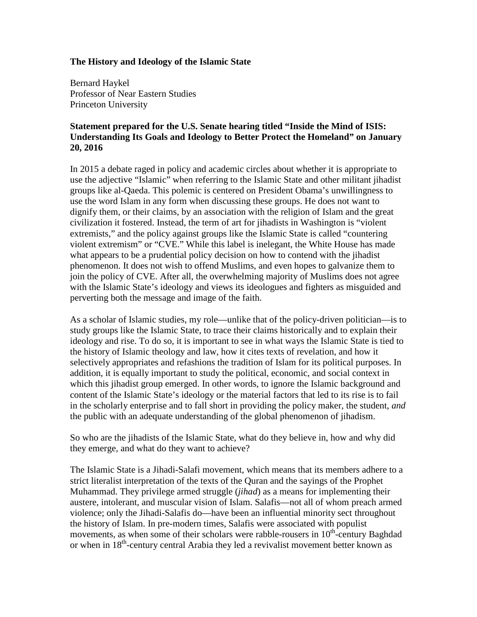## **The History and Ideology of the Islamic State**

Bernard Haykel Professor of Near Eastern Studies Princeton University

## **Statement prepared for the U.S. Senate hearing titled "Inside the Mind of ISIS: Understanding Its Goals and Ideology to Better Protect the Homeland" on January 20, 2016**

In 2015 a debate raged in policy and academic circles about whether it is appropriate to use the adjective "Islamic" when referring to the Islamic State and other militant jihadist groups like al-Qaeda. This polemic is centered on President Obama's unwillingness to use the word Islam in any form when discussing these groups. He does not want to dignify them, or their claims, by an association with the religion of Islam and the great civilization it fostered. Instead, the term of art for jihadists in Washington is "violent extremists," and the policy against groups like the Islamic State is called "countering violent extremism" or "CVE." While this label is inelegant, the White House has made what appears to be a prudential policy decision on how to contend with the jihadist phenomenon. It does not wish to offend Muslims, and even hopes to galvanize them to join the policy of CVE. After all, the overwhelming majority of Muslims does not agree with the Islamic State's ideology and views its ideologues and fighters as misguided and perverting both the message and image of the faith.

As a scholar of Islamic studies, my role—unlike that of the policy-driven politician—is to study groups like the Islamic State, to trace their claims historically and to explain their ideology and rise. To do so, it is important to see in what ways the Islamic State is tied to the history of Islamic theology and law, how it cites texts of revelation, and how it selectively appropriates and refashions the tradition of Islam for its political purposes. In addition, it is equally important to study the political, economic, and social context in which this jihadist group emerged. In other words, to ignore the Islamic background and content of the Islamic State's ideology or the material factors that led to its rise is to fail in the scholarly enterprise and to fall short in providing the policy maker, the student, *and* the public with an adequate understanding of the global phenomenon of jihadism.

So who are the jihadists of the Islamic State, what do they believe in, how and why did they emerge, and what do they want to achieve?

The Islamic State is a Jihadi-Salafi movement, which means that its members adhere to a strict literalist interpretation of the texts of the Quran and the sayings of the Prophet Muhammad. They privilege armed struggle (*jihad*) as a means for implementing their austere, intolerant, and muscular vision of Islam. Salafis—not all of whom preach armed violence; only the Jihadi-Salafis do—have been an influential minority sect throughout the history of Islam. In pre-modern times, Salafis were associated with populist movements, as when some of their scholars were rabble-rousers in  $10<sup>th</sup>$ -century Baghdad or when in  $18<sup>th</sup>$ -century central Arabia they led a revivalist movement better known as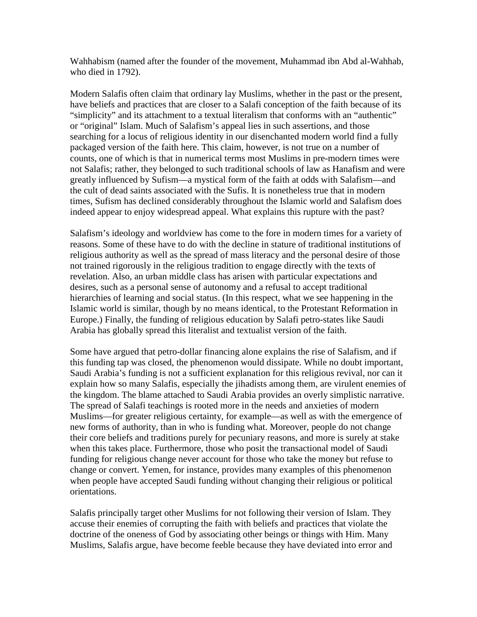Wahhabism (named after the founder of the movement, Muhammad ibn Abd al-Wahhab, who died in 1792).

Modern Salafis often claim that ordinary lay Muslims, whether in the past or the present, have beliefs and practices that are closer to a Salafi conception of the faith because of its "simplicity" and its attachment to a textual literalism that conforms with an "authentic" or "original" Islam. Much of Salafism's appeal lies in such assertions, and those searching for a locus of religious identity in our disenchanted modern world find a fully packaged version of the faith here. This claim, however, is not true on a number of counts, one of which is that in numerical terms most Muslims in pre-modern times were not Salafis; rather, they belonged to such traditional schools of law as Hanafism and were greatly influenced by Sufism—a mystical form of the faith at odds with Salafism—and the cult of dead saints associated with the Sufis. It is nonetheless true that in modern times, Sufism has declined considerably throughout the Islamic world and Salafism does indeed appear to enjoy widespread appeal. What explains this rupture with the past?

Salafism's ideology and worldview has come to the fore in modern times for a variety of reasons. Some of these have to do with the decline in stature of traditional institutions of religious authority as well as the spread of mass literacy and the personal desire of those not trained rigorously in the religious tradition to engage directly with the texts of revelation. Also, an urban middle class has arisen with particular expectations and desires, such as a personal sense of autonomy and a refusal to accept traditional hierarchies of learning and social status. (In this respect, what we see happening in the Islamic world is similar, though by no means identical, to the Protestant Reformation in Europe.) Finally, the funding of religious education by Salafi petro-states like Saudi Arabia has globally spread this literalist and textualist version of the faith.

Some have argued that petro-dollar financing alone explains the rise of Salafism, and if this funding tap was closed, the phenomenon would dissipate. While no doubt important, Saudi Arabia's funding is not a sufficient explanation for this religious revival, nor can it explain how so many Salafis, especially the jihadists among them, are virulent enemies of the kingdom. The blame attached to Saudi Arabia provides an overly simplistic narrative. The spread of Salafi teachings is rooted more in the needs and anxieties of modern Muslims—for greater religious certainty, for example—as well as with the emergence of new forms of authority, than in who is funding what. Moreover, people do not change their core beliefs and traditions purely for pecuniary reasons, and more is surely at stake when this takes place. Furthermore, those who posit the transactional model of Saudi funding for religious change never account for those who take the money but refuse to change or convert. Yemen, for instance, provides many examples of this phenomenon when people have accepted Saudi funding without changing their religious or political orientations.

Salafis principally target other Muslims for not following their version of Islam. They accuse their enemies of corrupting the faith with beliefs and practices that violate the doctrine of the oneness of God by associating other beings or things with Him. Many Muslims, Salafis argue, have become feeble because they have deviated into error and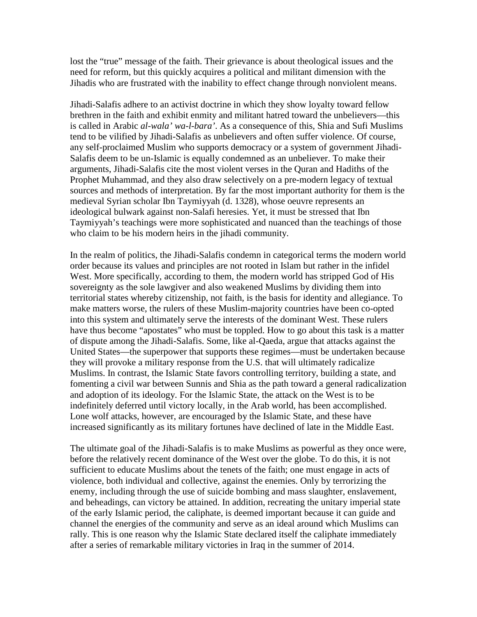lost the "true" message of the faith. Their grievance is about theological issues and the need for reform, but this quickly acquires a political and militant dimension with the Jihadis who are frustrated with the inability to effect change through nonviolent means.

Jihadi-Salafis adhere to an activist doctrine in which they show loyalty toward fellow brethren in the faith and exhibit enmity and militant hatred toward the unbelievers—this is called in Arabic *al-wala' wa-l-bara'*. As a consequence of this, Shia and Sufi Muslims tend to be vilified by Jihadi-Salafis as unbelievers and often suffer violence. Of course, any self-proclaimed Muslim who supports democracy or a system of government Jihadi-Salafis deem to be un-Islamic is equally condemned as an unbeliever. To make their arguments, Jihadi-Salafis cite the most violent verses in the Quran and Hadiths of the Prophet Muhammad, and they also draw selectively on a pre-modern legacy of textual sources and methods of interpretation. By far the most important authority for them is the medieval Syrian scholar Ibn Taymiyyah (d. 1328), whose oeuvre represents an ideological bulwark against non-Salafi heresies. Yet, it must be stressed that Ibn Taymiyyah's teachings were more sophisticated and nuanced than the teachings of those who claim to be his modern heirs in the jihadi community.

In the realm of politics, the Jihadi-Salafis condemn in categorical terms the modern world order because its values and principles are not rooted in Islam but rather in the infidel West. More specifically, according to them, the modern world has stripped God of His sovereignty as the sole lawgiver and also weakened Muslims by dividing them into territorial states whereby citizenship, not faith, is the basis for identity and allegiance. To make matters worse, the rulers of these Muslim-majority countries have been co-opted into this system and ultimately serve the interests of the dominant West. These rulers have thus become "apostates" who must be toppled. How to go about this task is a matter of dispute among the Jihadi-Salafis. Some, like al-Qaeda, argue that attacks against the United States—the superpower that supports these regimes—must be undertaken because they will provoke a military response from the U.S. that will ultimately radicalize Muslims. In contrast, the Islamic State favors controlling territory, building a state, and fomenting a civil war between Sunnis and Shia as the path toward a general radicalization and adoption of its ideology. For the Islamic State, the attack on the West is to be indefinitely deferred until victory locally, in the Arab world, has been accomplished. Lone wolf attacks, however, are encouraged by the Islamic State, and these have increased significantly as its military fortunes have declined of late in the Middle East.

The ultimate goal of the Jihadi-Salafis is to make Muslims as powerful as they once were, before the relatively recent dominance of the West over the globe. To do this, it is not sufficient to educate Muslims about the tenets of the faith; one must engage in acts of violence, both individual and collective, against the enemies. Only by terrorizing the enemy, including through the use of suicide bombing and mass slaughter, enslavement, and beheadings, can victory be attained. In addition, recreating the unitary imperial state of the early Islamic period, the caliphate, is deemed important because it can guide and channel the energies of the community and serve as an ideal around which Muslims can rally. This is one reason why the Islamic State declared itself the caliphate immediately after a series of remarkable military victories in Iraq in the summer of 2014.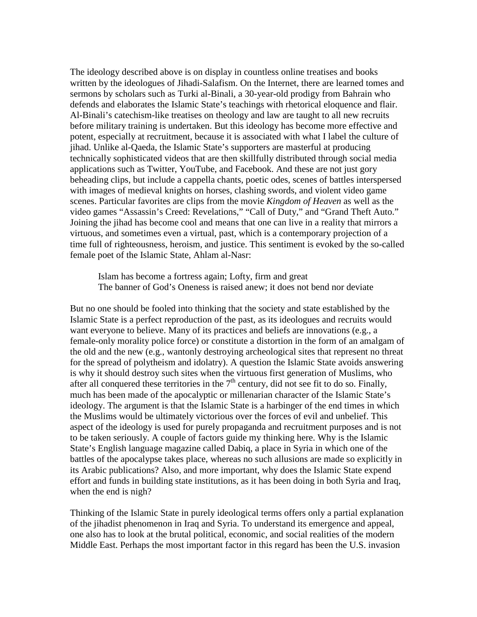The ideology described above is on display in countless online treatises and books written by the ideologues of Jihadi-Salafism. On the Internet, there are learned tomes and sermons by scholars such as Turki al-Binali, a 30-year-old prodigy from Bahrain who defends and elaborates the Islamic State's teachings with rhetorical eloquence and flair. Al-Binali's catechism-like treatises on theology and law are taught to all new recruits before military training is undertaken. But this ideology has become more effective and potent, especially at recruitment, because it is associated with what I label the culture of jihad. Unlike al-Qaeda, the Islamic State's supporters are masterful at producing technically sophisticated videos that are then skillfully distributed through social media applications such as Twitter, YouTube, and Facebook. And these are not just gory beheading clips, but include a cappella chants, poetic odes, scenes of battles interspersed with images of medieval knights on horses, clashing swords, and violent video game scenes. Particular favorites are clips from the movie *Kingdom of Heaven* as well as the video games "Assassin's Creed: Revelations," "Call of Duty," and "Grand Theft Auto." Joining the jihad has become cool and means that one can live in a reality that mirrors a virtuous, and sometimes even a virtual, past, which is a contemporary projection of a time full of righteousness, heroism, and justice. This sentiment is evoked by the so-called female poet of the Islamic State, Ahlam al-Nasr:

Islam has become a fortress again; Lofty, firm and great The banner of God's Oneness is raised anew; it does not bend nor deviate

But no one should be fooled into thinking that the society and state established by the Islamic State is a perfect reproduction of the past, as its ideologues and recruits would want everyone to believe. Many of its practices and beliefs are innovations (e.g., a female-only morality police force) or constitute a distortion in the form of an amalgam of the old and the new (e.g., wantonly destroying archeological sites that represent no threat for the spread of polytheism and idolatry). A question the Islamic State avoids answering is why it should destroy such sites when the virtuous first generation of Muslims, who after all conquered these territories in the  $7<sup>th</sup>$  century, did not see fit to do so. Finally, much has been made of the apocalyptic or millenarian character of the Islamic State's ideology. The argument is that the Islamic State is a harbinger of the end times in which the Muslims would be ultimately victorious over the forces of evil and unbelief. This aspect of the ideology is used for purely propaganda and recruitment purposes and is not to be taken seriously. A couple of factors guide my thinking here. Why is the Islamic State's English language magazine called Dabiq, a place in Syria in which one of the battles of the apocalypse takes place, whereas no such allusions are made so explicitly in its Arabic publications? Also, and more important, why does the Islamic State expend effort and funds in building state institutions, as it has been doing in both Syria and Iraq, when the end is nigh?

Thinking of the Islamic State in purely ideological terms offers only a partial explanation of the jihadist phenomenon in Iraq and Syria. To understand its emergence and appeal, one also has to look at the brutal political, economic, and social realities of the modern Middle East. Perhaps the most important factor in this regard has been the U.S. invasion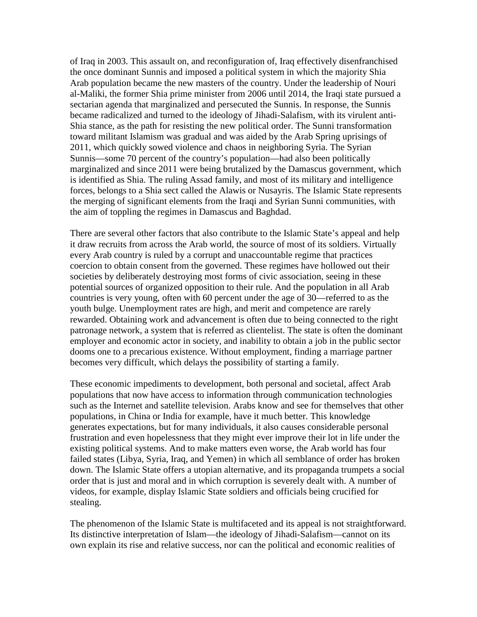of Iraq in 2003. This assault on, and reconfiguration of, Iraq effectively disenfranchised the once dominant Sunnis and imposed a political system in which the majority Shia Arab population became the new masters of the country. Under the leadership of Nouri al-Maliki, the former Shia prime minister from 2006 until 2014, the Iraqi state pursued a sectarian agenda that marginalized and persecuted the Sunnis. In response, the Sunnis became radicalized and turned to the ideology of Jihadi-Salafism, with its virulent anti-Shia stance, as the path for resisting the new political order. The Sunni transformation toward militant Islamism was gradual and was aided by the Arab Spring uprisings of 2011, which quickly sowed violence and chaos in neighboring Syria. The Syrian Sunnis—some 70 percent of the country's population—had also been politically marginalized and since 2011 were being brutalized by the Damascus government, which is identified as Shia. The ruling Assad family, and most of its military and intelligence forces, belongs to a Shia sect called the Alawis or Nusayris. The Islamic State represents the merging of significant elements from the Iraqi and Syrian Sunni communities, with the aim of toppling the regimes in Damascus and Baghdad.

There are several other factors that also contribute to the Islamic State's appeal and help it draw recruits from across the Arab world, the source of most of its soldiers. Virtually every Arab country is ruled by a corrupt and unaccountable regime that practices coercion to obtain consent from the governed. These regimes have hollowed out their societies by deliberately destroying most forms of civic association, seeing in these potential sources of organized opposition to their rule. And the population in all Arab countries is very young, often with 60 percent under the age of 30—referred to as the youth bulge. Unemployment rates are high, and merit and competence are rarely rewarded. Obtaining work and advancement is often due to being connected to the right patronage network, a system that is referred as clientelist. The state is often the dominant employer and economic actor in society, and inability to obtain a job in the public sector dooms one to a precarious existence. Without employment, finding a marriage partner becomes very difficult, which delays the possibility of starting a family.

These economic impediments to development, both personal and societal, affect Arab populations that now have access to information through communication technologies such as the Internet and satellite television. Arabs know and see for themselves that other populations, in China or India for example, have it much better. This knowledge generates expectations, but for many individuals, it also causes considerable personal frustration and even hopelessness that they might ever improve their lot in life under the existing political systems. And to make matters even worse, the Arab world has four failed states (Libya, Syria, Iraq, and Yemen) in which all semblance of order has broken down. The Islamic State offers a utopian alternative, and its propaganda trumpets a social order that is just and moral and in which corruption is severely dealt with. A number of videos, for example, display Islamic State soldiers and officials being crucified for stealing.

The phenomenon of the Islamic State is multifaceted and its appeal is not straightforward. Its distinctive interpretation of Islam—the ideology of Jihadi-Salafism—cannot on its own explain its rise and relative success, nor can the political and economic realities of